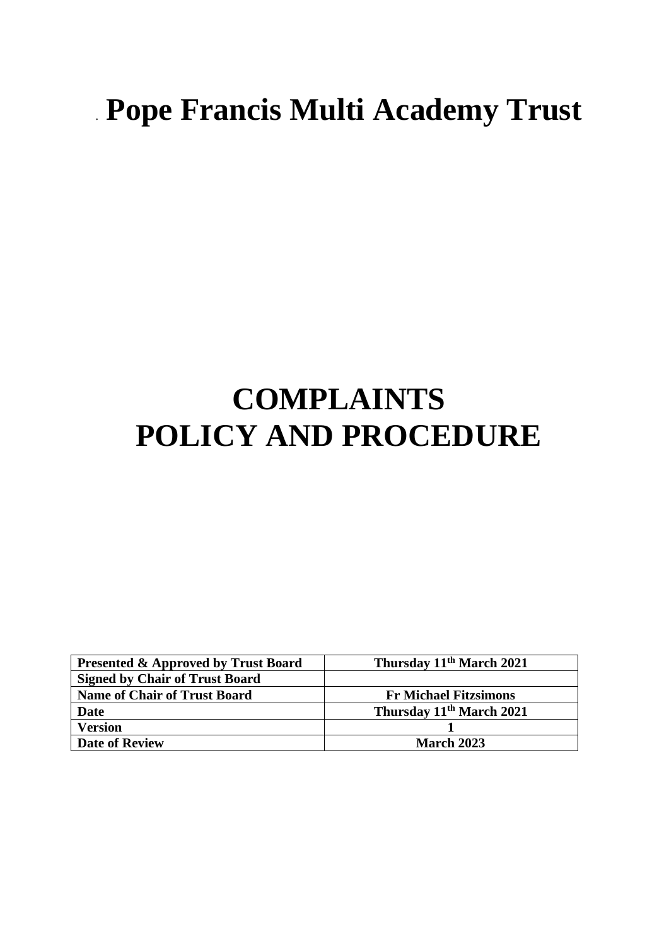# . **Pope Francis Multi Academy Trust**

# **COMPLAINTS POLICY AND PROCEDURE**

| <b>Presented &amp; Approved by Trust Board</b> | Thursday 11 <sup>th</sup> March 2021 |
|------------------------------------------------|--------------------------------------|
| <b>Signed by Chair of Trust Board</b>          |                                      |
| <b>Name of Chair of Trust Board</b>            | <b>Fr Michael Fitzsimons</b>         |
| <b>Date</b>                                    | Thursday 11 <sup>th</sup> March 2021 |
| <b>Version</b>                                 |                                      |
| <b>Date of Review</b>                          | <b>March 2023</b>                    |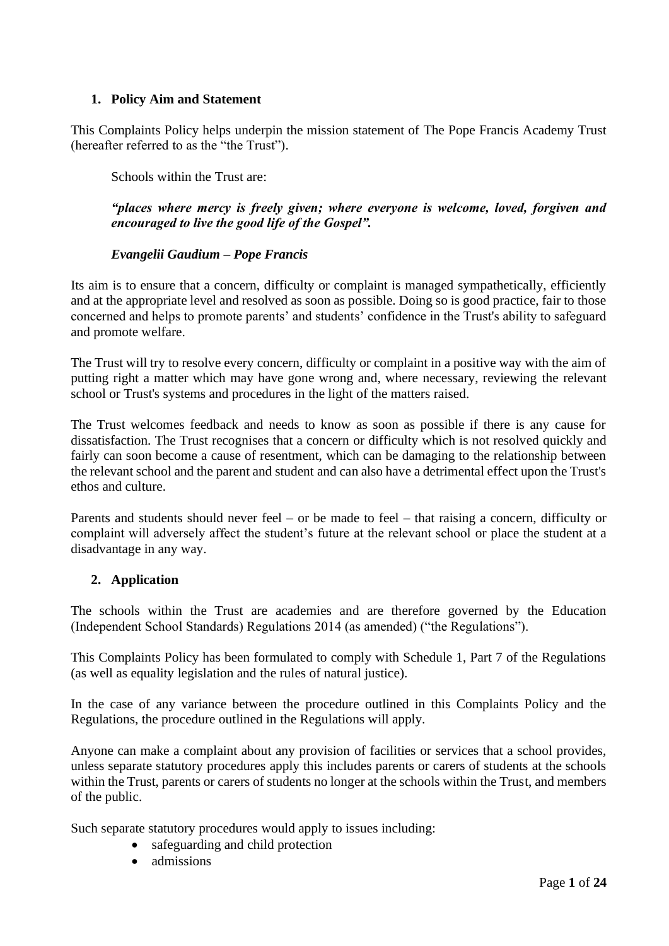# **1. Policy Aim and Statement**

This Complaints Policy helps underpin the mission statement of The Pope Francis Academy Trust (hereafter referred to as the "the Trust").

Schools within the Trust are:

*"places where mercy is freely given; where everyone is welcome, loved, forgiven and encouraged to live the good life of the Gospel".* 

# *Evangelii Gaudium – Pope Francis*

Its aim is to ensure that a concern, difficulty or complaint is managed sympathetically, efficiently and at the appropriate level and resolved as soon as possible. Doing so is good practice, fair to those concerned and helps to promote parents' and students' confidence in the Trust's ability to safeguard and promote welfare.

The Trust will try to resolve every concern, difficulty or complaint in a positive way with the aim of putting right a matter which may have gone wrong and, where necessary, reviewing the relevant school or Trust's systems and procedures in the light of the matters raised.

The Trust welcomes feedback and needs to know as soon as possible if there is any cause for dissatisfaction. The Trust recognises that a concern or difficulty which is not resolved quickly and fairly can soon become a cause of resentment, which can be damaging to the relationship between the relevant school and the parent and student and can also have a detrimental effect upon the Trust's ethos and culture.

Parents and students should never feel – or be made to feel – that raising a concern, difficulty or complaint will adversely affect the student's future at the relevant school or place the student at a disadvantage in any way.

## **2. Application**

The schools within the Trust are academies and are therefore governed by the Education (Independent School Standards) Regulations 2014 (as amended) ("the Regulations").

This Complaints Policy has been formulated to comply with Schedule 1, Part 7 of the Regulations (as well as equality legislation and the rules of natural justice).

In the case of any variance between the procedure outlined in this Complaints Policy and the Regulations, the procedure outlined in the Regulations will apply.

Anyone can make a complaint about any provision of facilities or services that a school provides, unless separate statutory procedures apply this includes parents or carers of students at the schools within the Trust, parents or carers of students no longer at the schools within the Trust, and members of the public.

Such separate statutory procedures would apply to issues including:

- safeguarding and child protection
- admissions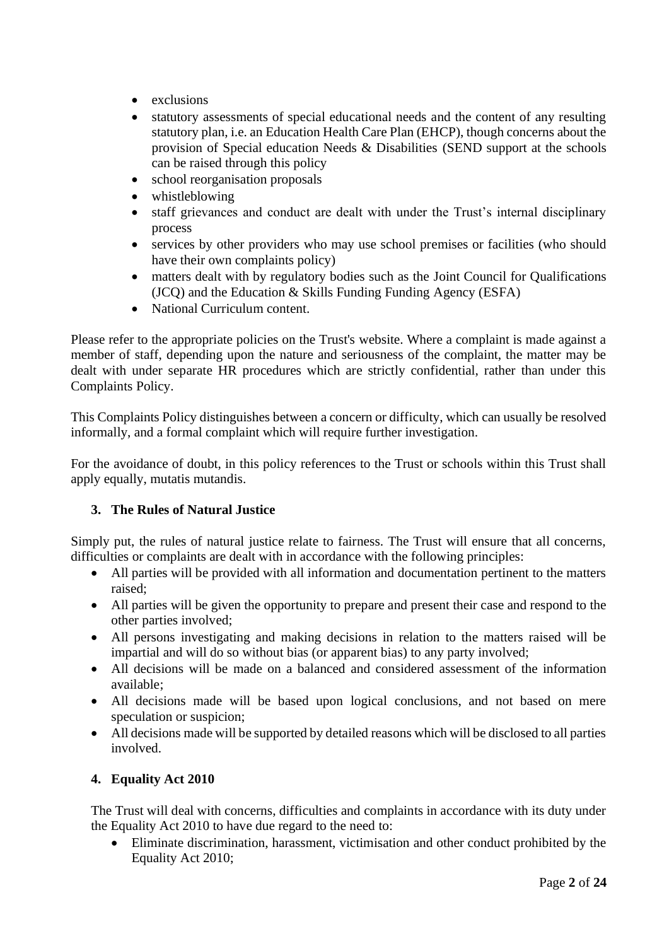- exclusions
- statutory assessments of special educational needs and the content of any resulting statutory plan, i.e. an Education Health Care Plan (EHCP), though concerns about the provision of Special education Needs & Disabilities (SEND support at the schools can be raised through this policy
- school reorganisation proposals
- whistleblowing
- staff grievances and conduct are dealt with under the Trust's internal disciplinary process
- services by other providers who may use school premises or facilities (who should have their own complaints policy)
- matters dealt with by regulatory bodies such as the Joint Council for Qualifications (JCQ) and the Education & Skills Funding Funding Agency (ESFA)
- National Curriculum content.

Please refer to the appropriate policies on the Trust's website. Where a complaint is made against a member of staff, depending upon the nature and seriousness of the complaint, the matter may be dealt with under separate HR procedures which are strictly confidential, rather than under this Complaints Policy.

This Complaints Policy distinguishes between a concern or difficulty, which can usually be resolved informally, and a formal complaint which will require further investigation.

For the avoidance of doubt, in this policy references to the Trust or schools within this Trust shall apply equally, mutatis mutandis.

# **3. The Rules of Natural Justice**

Simply put, the rules of natural justice relate to fairness. The Trust will ensure that all concerns, difficulties or complaints are dealt with in accordance with the following principles:

- All parties will be provided with all information and documentation pertinent to the matters raised;
- All parties will be given the opportunity to prepare and present their case and respond to the other parties involved;
- All persons investigating and making decisions in relation to the matters raised will be impartial and will do so without bias (or apparent bias) to any party involved;
- All decisions will be made on a balanced and considered assessment of the information available;
- All decisions made will be based upon logical conclusions, and not based on mere speculation or suspicion;
- All decisions made will be supported by detailed reasons which will be disclosed to all parties involved.

# **4. Equality Act 2010**

The Trust will deal with concerns, difficulties and complaints in accordance with its duty under the Equality Act 2010 to have due regard to the need to:

• Eliminate discrimination, harassment, victimisation and other conduct prohibited by the Equality Act 2010;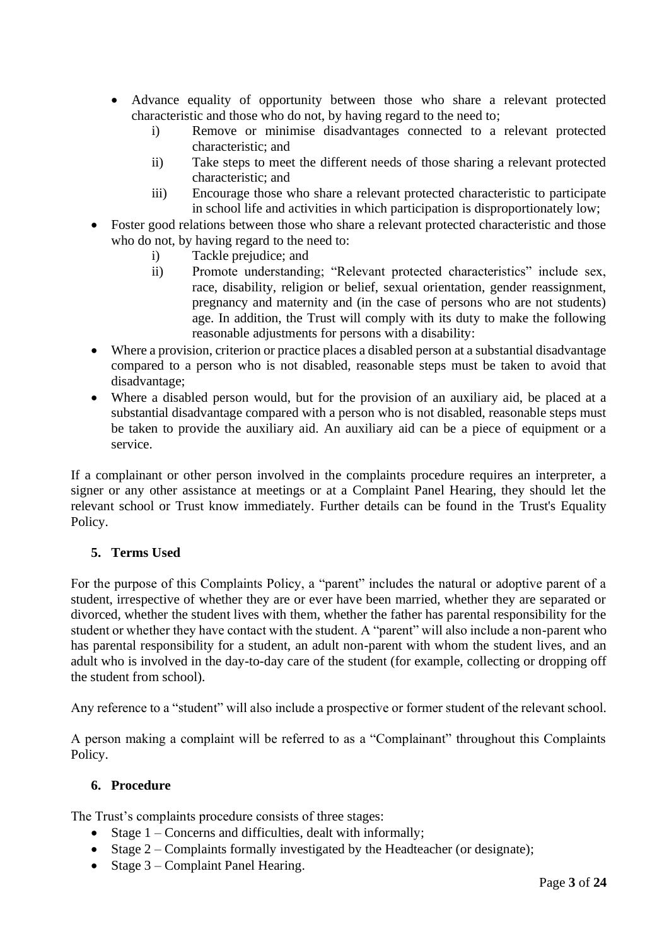- Advance equality of opportunity between those who share a relevant protected characteristic and those who do not, by having regard to the need to;
	- i) Remove or minimise disadvantages connected to a relevant protected characteristic; and
	- ii) Take steps to meet the different needs of those sharing a relevant protected characteristic; and
	- iii) Encourage those who share a relevant protected characteristic to participate in school life and activities in which participation is disproportionately low;
- Foster good relations between those who share a relevant protected characteristic and those who do not, by having regard to the need to:
	- i) Tackle prejudice; and
	- ii) Promote understanding; "Relevant protected characteristics" include sex, race, disability, religion or belief, sexual orientation, gender reassignment, pregnancy and maternity and (in the case of persons who are not students) age. In addition, the Trust will comply with its duty to make the following reasonable adjustments for persons with a disability:
- Where a provision, criterion or practice places a disabled person at a substantial disadvantage compared to a person who is not disabled, reasonable steps must be taken to avoid that disadvantage;
- Where a disabled person would, but for the provision of an auxiliary aid, be placed at a substantial disadvantage compared with a person who is not disabled, reasonable steps must be taken to provide the auxiliary aid. An auxiliary aid can be a piece of equipment or a service.

If a complainant or other person involved in the complaints procedure requires an interpreter, a signer or any other assistance at meetings or at a Complaint Panel Hearing, they should let the relevant school or Trust know immediately. Further details can be found in the Trust's Equality Policy.

# **5. Terms Used**

For the purpose of this Complaints Policy, a "parent" includes the natural or adoptive parent of a student, irrespective of whether they are or ever have been married, whether they are separated or divorced, whether the student lives with them, whether the father has parental responsibility for the student or whether they have contact with the student. A "parent" will also include a non-parent who has parental responsibility for a student, an adult non-parent with whom the student lives, and an adult who is involved in the day-to-day care of the student (for example, collecting or dropping off the student from school).

Any reference to a "student" will also include a prospective or former student of the relevant school.

A person making a complaint will be referred to as a "Complainant" throughout this Complaints Policy.

# **6. Procedure**

The Trust's complaints procedure consists of three stages:

- Stage  $1 -$  Concerns and difficulties, dealt with informally;
- Stage 2 Complaints formally investigated by the Headteacher (or designate);
- Stage 3 Complaint Panel Hearing.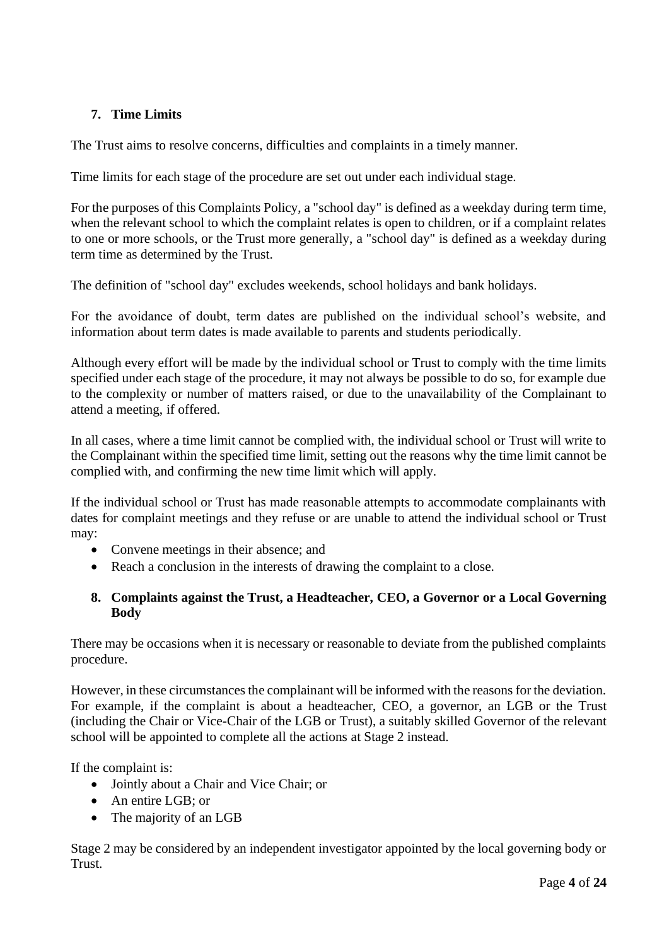# **7. Time Limits**

The Trust aims to resolve concerns, difficulties and complaints in a timely manner.

Time limits for each stage of the procedure are set out under each individual stage.

For the purposes of this Complaints Policy, a "school day" is defined as a weekday during term time, when the relevant school to which the complaint relates is open to children, or if a complaint relates to one or more schools, or the Trust more generally, a "school day" is defined as a weekday during term time as determined by the Trust.

The definition of "school day" excludes weekends, school holidays and bank holidays.

For the avoidance of doubt, term dates are published on the individual school's website, and information about term dates is made available to parents and students periodically.

Although every effort will be made by the individual school or Trust to comply with the time limits specified under each stage of the procedure, it may not always be possible to do so, for example due to the complexity or number of matters raised, or due to the unavailability of the Complainant to attend a meeting, if offered.

In all cases, where a time limit cannot be complied with, the individual school or Trust will write to the Complainant within the specified time limit, setting out the reasons why the time limit cannot be complied with, and confirming the new time limit which will apply.

If the individual school or Trust has made reasonable attempts to accommodate complainants with dates for complaint meetings and they refuse or are unable to attend the individual school or Trust may:

- Convene meetings in their absence; and
- Reach a conclusion in the interests of drawing the complaint to a close.

# **8. Complaints against the Trust, a Headteacher, CEO, a Governor or a Local Governing Body**

There may be occasions when it is necessary or reasonable to deviate from the published complaints procedure.

However, in these circumstances the complainant will be informed with the reasons for the deviation. For example, if the complaint is about a headteacher, CEO, a governor, an LGB or the Trust (including the Chair or Vice-Chair of the LGB or Trust), a suitably skilled Governor of the relevant school will be appointed to complete all the actions at Stage 2 instead.

If the complaint is:

- Jointly about a Chair and Vice Chair; or
- An entire LGB; or
- The majority of an LGB

Stage 2 may be considered by an independent investigator appointed by the local governing body or Trust.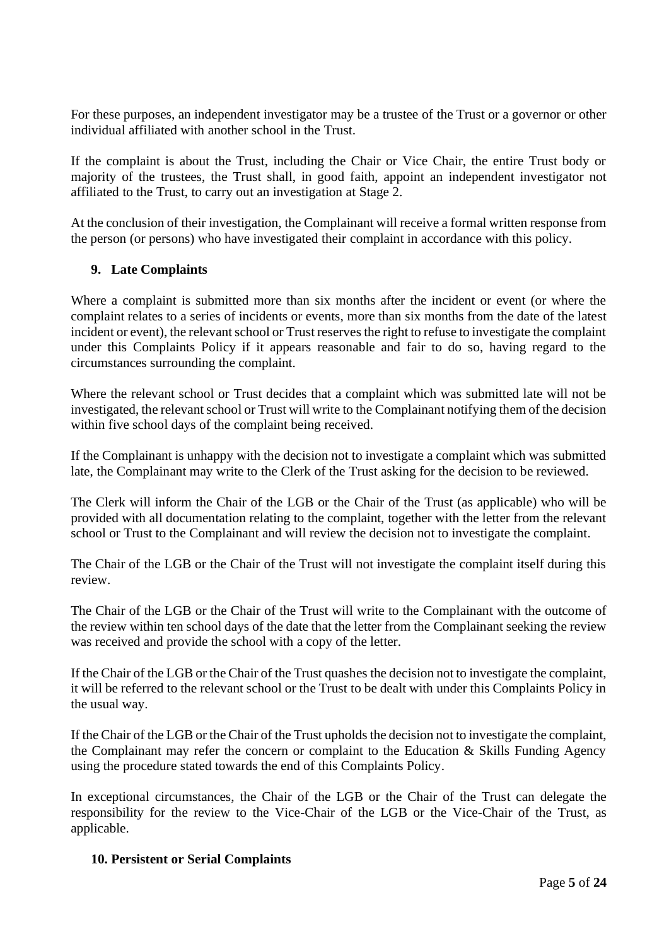For these purposes, an independent investigator may be a trustee of the Trust or a governor or other individual affiliated with another school in the Trust.

If the complaint is about the Trust, including the Chair or Vice Chair, the entire Trust body or majority of the trustees, the Trust shall, in good faith, appoint an independent investigator not affiliated to the Trust, to carry out an investigation at Stage 2.

At the conclusion of their investigation, the Complainant will receive a formal written response from the person (or persons) who have investigated their complaint in accordance with this policy.

# **9. Late Complaints**

Where a complaint is submitted more than six months after the incident or event (or where the complaint relates to a series of incidents or events, more than six months from the date of the latest incident or event), the relevant school or Trust reserves the right to refuse to investigate the complaint under this Complaints Policy if it appears reasonable and fair to do so, having regard to the circumstances surrounding the complaint.

Where the relevant school or Trust decides that a complaint which was submitted late will not be investigated, the relevant school or Trust will write to the Complainant notifying them of the decision within five school days of the complaint being received.

If the Complainant is unhappy with the decision not to investigate a complaint which was submitted late, the Complainant may write to the Clerk of the Trust asking for the decision to be reviewed.

The Clerk will inform the Chair of the LGB or the Chair of the Trust (as applicable) who will be provided with all documentation relating to the complaint, together with the letter from the relevant school or Trust to the Complainant and will review the decision not to investigate the complaint.

The Chair of the LGB or the Chair of the Trust will not investigate the complaint itself during this review.

The Chair of the LGB or the Chair of the Trust will write to the Complainant with the outcome of the review within ten school days of the date that the letter from the Complainant seeking the review was received and provide the school with a copy of the letter.

If the Chair of the LGB or the Chair of the Trust quashes the decision not to investigate the complaint, it will be referred to the relevant school or the Trust to be dealt with under this Complaints Policy in the usual way.

If the Chair of the LGB or the Chair of the Trust upholds the decision not to investigate the complaint, the Complainant may refer the concern or complaint to the Education & Skills Funding Agency using the procedure stated towards the end of this Complaints Policy.

In exceptional circumstances, the Chair of the LGB or the Chair of the Trust can delegate the responsibility for the review to the Vice-Chair of the LGB or the Vice-Chair of the Trust, as applicable.

## **10. Persistent or Serial Complaints**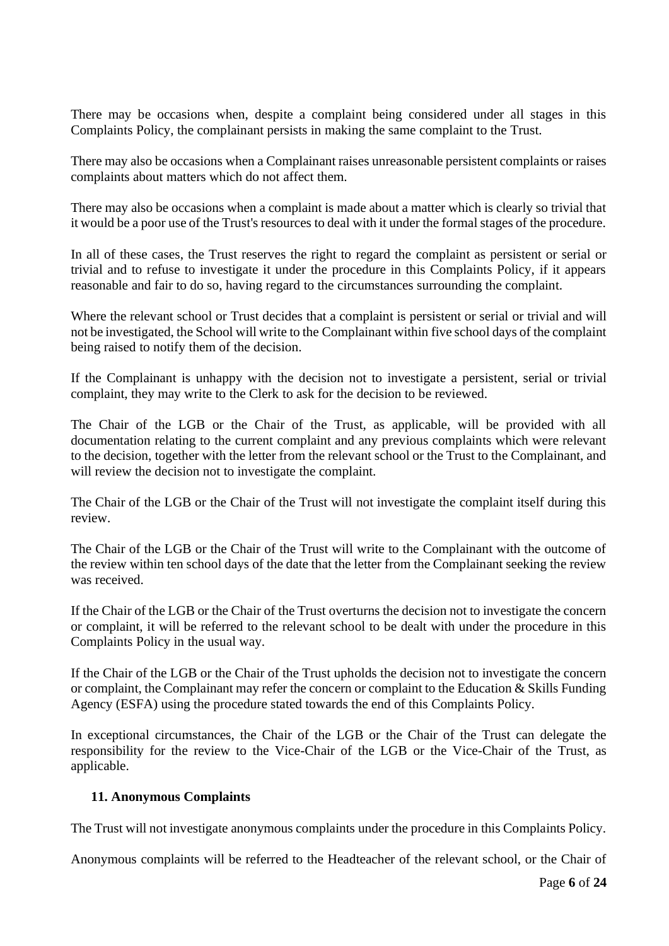There may be occasions when, despite a complaint being considered under all stages in this Complaints Policy, the complainant persists in making the same complaint to the Trust.

There may also be occasions when a Complainant raises unreasonable persistent complaints or raises complaints about matters which do not affect them.

There may also be occasions when a complaint is made about a matter which is clearly so trivial that it would be a poor use of the Trust's resources to deal with it under the formal stages of the procedure.

In all of these cases, the Trust reserves the right to regard the complaint as persistent or serial or trivial and to refuse to investigate it under the procedure in this Complaints Policy, if it appears reasonable and fair to do so, having regard to the circumstances surrounding the complaint.

Where the relevant school or Trust decides that a complaint is persistent or serial or trivial and will not be investigated, the School will write to the Complainant within five school days of the complaint being raised to notify them of the decision.

If the Complainant is unhappy with the decision not to investigate a persistent, serial or trivial complaint, they may write to the Clerk to ask for the decision to be reviewed.

The Chair of the LGB or the Chair of the Trust, as applicable, will be provided with all documentation relating to the current complaint and any previous complaints which were relevant to the decision, together with the letter from the relevant school or the Trust to the Complainant, and will review the decision not to investigate the complaint.

The Chair of the LGB or the Chair of the Trust will not investigate the complaint itself during this review.

The Chair of the LGB or the Chair of the Trust will write to the Complainant with the outcome of the review within ten school days of the date that the letter from the Complainant seeking the review was received.

If the Chair of the LGB or the Chair of the Trust overturns the decision not to investigate the concern or complaint, it will be referred to the relevant school to be dealt with under the procedure in this Complaints Policy in the usual way.

If the Chair of the LGB or the Chair of the Trust upholds the decision not to investigate the concern or complaint, the Complainant may refer the concern or complaint to the Education & Skills Funding Agency (ESFA) using the procedure stated towards the end of this Complaints Policy.

In exceptional circumstances, the Chair of the LGB or the Chair of the Trust can delegate the responsibility for the review to the Vice-Chair of the LGB or the Vice-Chair of the Trust, as applicable.

## **11. Anonymous Complaints**

The Trust will not investigate anonymous complaints under the procedure in this Complaints Policy.

Anonymous complaints will be referred to the Headteacher of the relevant school, or the Chair of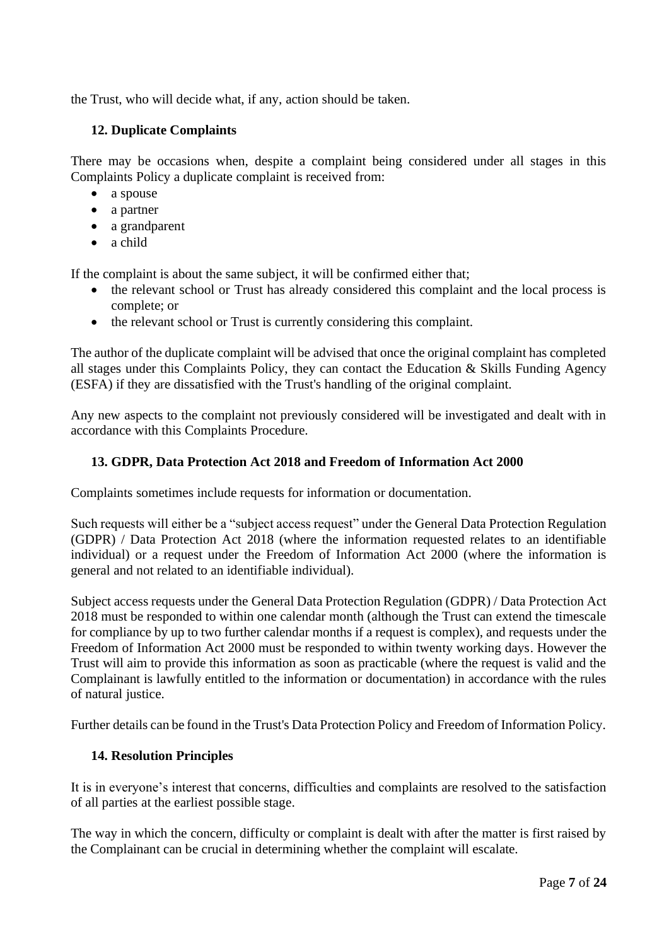the Trust, who will decide what, if any, action should be taken.

# **12. Duplicate Complaints**

There may be occasions when, despite a complaint being considered under all stages in this Complaints Policy a duplicate complaint is received from:

- a spouse
- a partner
- a grandparent
- a child

If the complaint is about the same subject, it will be confirmed either that;

- the relevant school or Trust has already considered this complaint and the local process is complete; or
- the relevant school or Trust is currently considering this complaint.

The author of the duplicate complaint will be advised that once the original complaint has completed all stages under this Complaints Policy, they can contact the Education & Skills Funding Agency (ESFA) if they are dissatisfied with the Trust's handling of the original complaint.

Any new aspects to the complaint not previously considered will be investigated and dealt with in accordance with this Complaints Procedure.

# **13. GDPR, Data Protection Act 2018 and Freedom of Information Act 2000**

Complaints sometimes include requests for information or documentation.

Such requests will either be a "subject access request" under the General Data Protection Regulation (GDPR) / Data Protection Act 2018 (where the information requested relates to an identifiable individual) or a request under the Freedom of Information Act 2000 (where the information is general and not related to an identifiable individual).

Subject access requests under the General Data Protection Regulation (GDPR) / Data Protection Act 2018 must be responded to within one calendar month (although the Trust can extend the timescale for compliance by up to two further calendar months if a request is complex), and requests under the Freedom of Information Act 2000 must be responded to within twenty working days. However the Trust will aim to provide this information as soon as practicable (where the request is valid and the Complainant is lawfully entitled to the information or documentation) in accordance with the rules of natural justice.

Further details can be found in the Trust's Data Protection Policy and Freedom of Information Policy.

## **14. Resolution Principles**

It is in everyone's interest that concerns, difficulties and complaints are resolved to the satisfaction of all parties at the earliest possible stage.

The way in which the concern, difficulty or complaint is dealt with after the matter is first raised by the Complainant can be crucial in determining whether the complaint will escalate.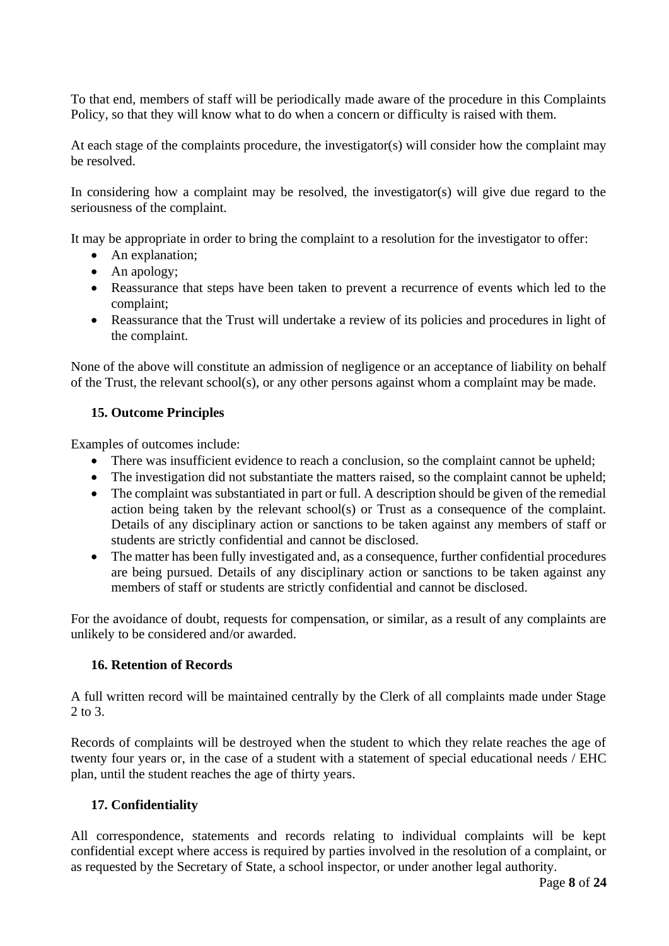To that end, members of staff will be periodically made aware of the procedure in this Complaints Policy, so that they will know what to do when a concern or difficulty is raised with them.

At each stage of the complaints procedure, the investigator(s) will consider how the complaint may be resolved.

In considering how a complaint may be resolved, the investigator(s) will give due regard to the seriousness of the complaint.

It may be appropriate in order to bring the complaint to a resolution for the investigator to offer:

- An explanation;
- An apology;
- Reassurance that steps have been taken to prevent a recurrence of events which led to the complaint;
- Reassurance that the Trust will undertake a review of its policies and procedures in light of the complaint.

None of the above will constitute an admission of negligence or an acceptance of liability on behalf of the Trust, the relevant school(s), or any other persons against whom a complaint may be made.

# **15. Outcome Principles**

Examples of outcomes include:

- There was insufficient evidence to reach a conclusion, so the complaint cannot be upheld;
- The investigation did not substantiate the matters raised, so the complaint cannot be upheld;
- The complaint was substantiated in part or full. A description should be given of the remedial action being taken by the relevant school(s) or Trust as a consequence of the complaint. Details of any disciplinary action or sanctions to be taken against any members of staff or students are strictly confidential and cannot be disclosed.
- The matter has been fully investigated and, as a consequence, further confidential procedures are being pursued. Details of any disciplinary action or sanctions to be taken against any members of staff or students are strictly confidential and cannot be disclosed.

For the avoidance of doubt, requests for compensation, or similar, as a result of any complaints are unlikely to be considered and/or awarded.

## **16. Retention of Records**

A full written record will be maintained centrally by the Clerk of all complaints made under Stage 2 to 3.

Records of complaints will be destroyed when the student to which they relate reaches the age of twenty four years or, in the case of a student with a statement of special educational needs / EHC plan, until the student reaches the age of thirty years.

## **17. Confidentiality**

All correspondence, statements and records relating to individual complaints will be kept confidential except where access is required by parties involved in the resolution of a complaint, or as requested by the Secretary of State, a school inspector, or under another legal authority.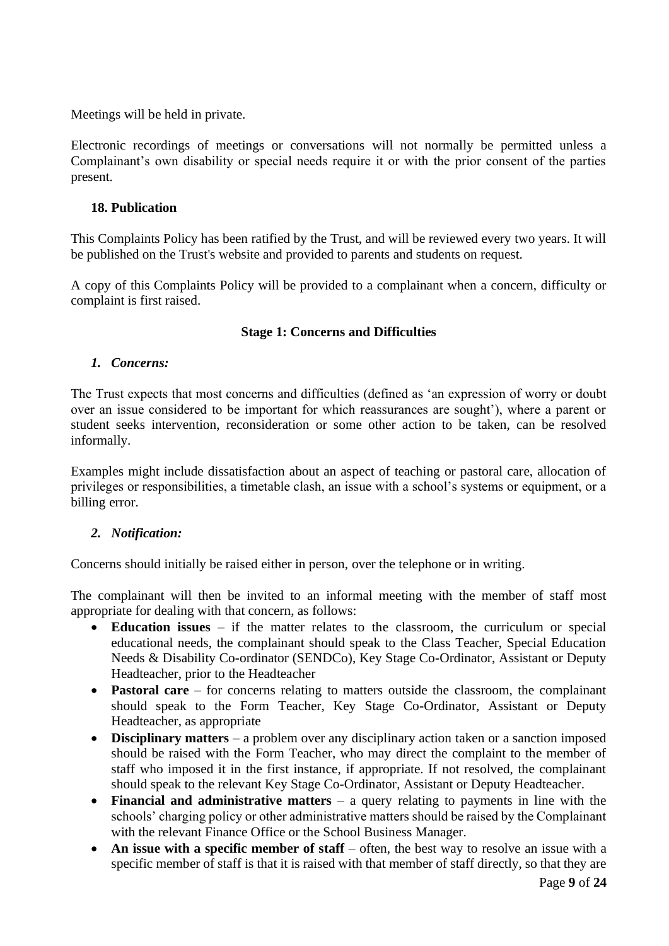Meetings will be held in private.

Electronic recordings of meetings or conversations will not normally be permitted unless a Complainant's own disability or special needs require it or with the prior consent of the parties present.

## **18. Publication**

This Complaints Policy has been ratified by the Trust, and will be reviewed every two years. It will be published on the Trust's website and provided to parents and students on request.

A copy of this Complaints Policy will be provided to a complainant when a concern, difficulty or complaint is first raised.

# **Stage 1: Concerns and Difficulties**

## *1. Concerns:*

The Trust expects that most concerns and difficulties (defined as 'an expression of worry or doubt over an issue considered to be important for which reassurances are sought'), where a parent or student seeks intervention, reconsideration or some other action to be taken, can be resolved informally.

Examples might include dissatisfaction about an aspect of teaching or pastoral care, allocation of privileges or responsibilities, a timetable clash, an issue with a school's systems or equipment, or a billing error.

# *2. Notification:*

Concerns should initially be raised either in person, over the telephone or in writing.

The complainant will then be invited to an informal meeting with the member of staff most appropriate for dealing with that concern, as follows:

- **Education issues** if the matter relates to the classroom, the curriculum or special educational needs, the complainant should speak to the Class Teacher, Special Education Needs & Disability Co-ordinator (SENDCo), Key Stage Co-Ordinator, Assistant or Deputy Headteacher, prior to the Headteacher
- **Pastoral care** for concerns relating to matters outside the classroom, the complainant should speak to the Form Teacher, Key Stage Co-Ordinator, Assistant or Deputy Headteacher, as appropriate
- **Disciplinary matters** a problem over any disciplinary action taken or a sanction imposed should be raised with the Form Teacher, who may direct the complaint to the member of staff who imposed it in the first instance, if appropriate. If not resolved, the complainant should speak to the relevant Key Stage Co-Ordinator, Assistant or Deputy Headteacher.
- **Financial and administrative matters** a query relating to payments in line with the schools' charging policy or other administrative matters should be raised by the Complainant with the relevant Finance Office or the School Business Manager.
- An issue with a specific member of staff often, the best way to resolve an issue with a specific member of staff is that it is raised with that member of staff directly, so that they are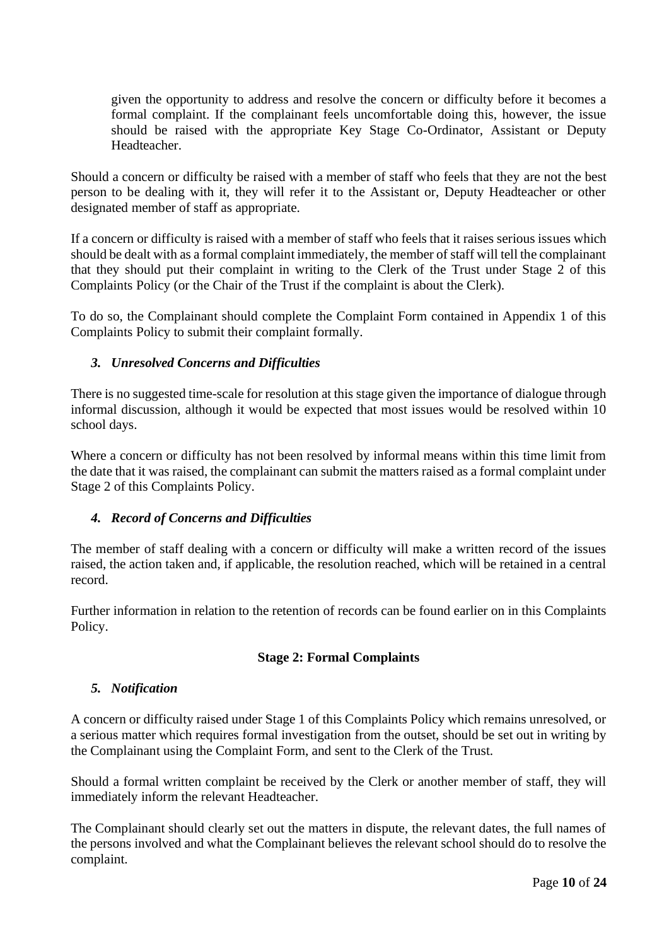given the opportunity to address and resolve the concern or difficulty before it becomes a formal complaint. If the complainant feels uncomfortable doing this, however, the issue should be raised with the appropriate Key Stage Co-Ordinator, Assistant or Deputy Headteacher.

Should a concern or difficulty be raised with a member of staff who feels that they are not the best person to be dealing with it, they will refer it to the Assistant or, Deputy Headteacher or other designated member of staff as appropriate.

If a concern or difficulty is raised with a member of staff who feels that it raises serious issues which should be dealt with as a formal complaint immediately, the member of staff will tell the complainant that they should put their complaint in writing to the Clerk of the Trust under Stage 2 of this Complaints Policy (or the Chair of the Trust if the complaint is about the Clerk).

To do so, the Complainant should complete the Complaint Form contained in Appendix 1 of this Complaints Policy to submit their complaint formally.

# *3. Unresolved Concerns and Difficulties*

There is no suggested time-scale for resolution at this stage given the importance of dialogue through informal discussion, although it would be expected that most issues would be resolved within 10 school days.

Where a concern or difficulty has not been resolved by informal means within this time limit from the date that it was raised, the complainant can submit the matters raised as a formal complaint under Stage 2 of this Complaints Policy.

## *4. Record of Concerns and Difficulties*

The member of staff dealing with a concern or difficulty will make a written record of the issues raised, the action taken and, if applicable, the resolution reached, which will be retained in a central record.

Further information in relation to the retention of records can be found earlier on in this Complaints Policy.

## **Stage 2: Formal Complaints**

## *5. Notification*

A concern or difficulty raised under Stage 1 of this Complaints Policy which remains unresolved, or a serious matter which requires formal investigation from the outset, should be set out in writing by the Complainant using the Complaint Form, and sent to the Clerk of the Trust.

Should a formal written complaint be received by the Clerk or another member of staff, they will immediately inform the relevant Headteacher.

The Complainant should clearly set out the matters in dispute, the relevant dates, the full names of the persons involved and what the Complainant believes the relevant school should do to resolve the complaint.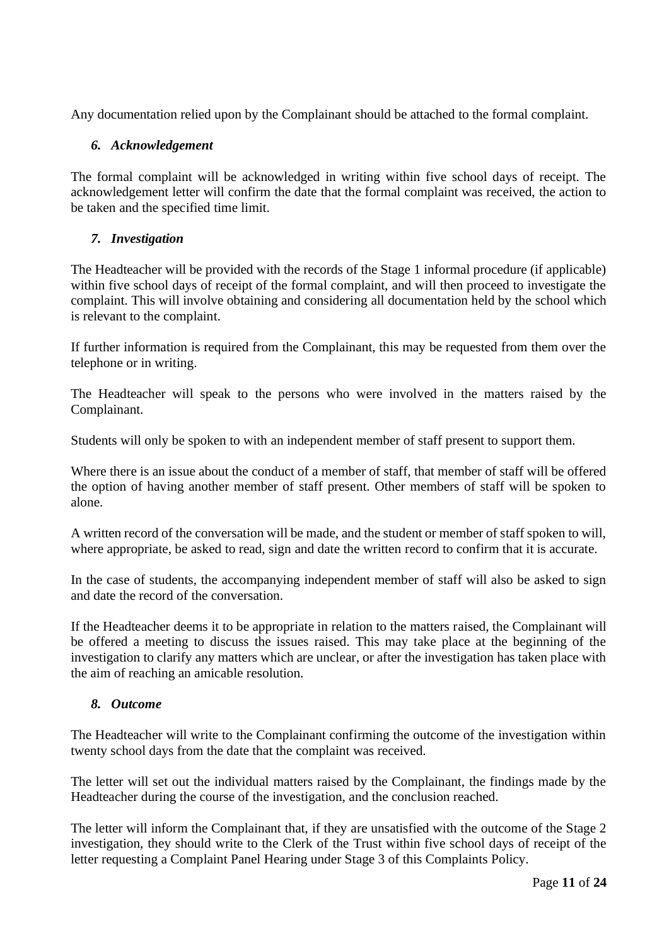Any documentation relied upon by the Complainant should be attached to the formal complaint.

# *6. Acknowledgement*

The formal complaint will be acknowledged in writing within five school days of receipt. The acknowledgement letter will confirm the date that the formal complaint was received, the action to be taken and the specified time limit.

# *7. Investigation*

The Headteacher will be provided with the records of the Stage 1 informal procedure (if applicable) within five school days of receipt of the formal complaint, and will then proceed to investigate the complaint. This will involve obtaining and considering all documentation held by the school which is relevant to the complaint.

If further information is required from the Complainant, this may be requested from them over the telephone or in writing.

The Headteacher will speak to the persons who were involved in the matters raised by the Complainant.

Students will only be spoken to with an independent member of staff present to support them.

Where there is an issue about the conduct of a member of staff, that member of staff will be offered the option of having another member of staff present. Other members of staff will be spoken to alone.

A written record of the conversation will be made, and the student or member of staff spoken to will, where appropriate, be asked to read, sign and date the written record to confirm that it is accurate.

In the case of students, the accompanying independent member of staff will also be asked to sign and date the record of the conversation.

If the Headteacher deems it to be appropriate in relation to the matters raised, the Complainant will be offered a meeting to discuss the issues raised. This may take place at the beginning of the investigation to clarify any matters which are unclear, or after the investigation has taken place with the aim of reaching an amicable resolution.

# *8. Outcome*

The Headteacher will write to the Complainant confirming the outcome of the investigation within twenty school days from the date that the complaint was received.

The letter will set out the individual matters raised by the Complainant, the findings made by the Headteacher during the course of the investigation, and the conclusion reached.

The letter will inform the Complainant that, if they are unsatisfied with the outcome of the Stage 2 investigation, they should write to the Clerk of the Trust within five school days of receipt of the letter requesting a Complaint Panel Hearing under Stage 3 of this Complaints Policy.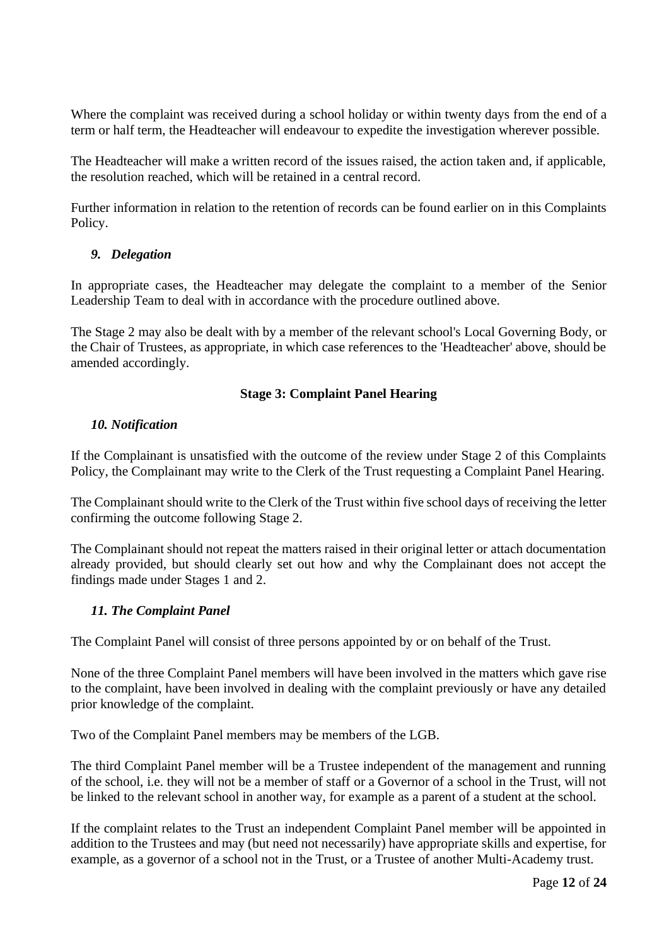Where the complaint was received during a school holiday or within twenty days from the end of a term or half term, the Headteacher will endeavour to expedite the investigation wherever possible.

The Headteacher will make a written record of the issues raised, the action taken and, if applicable, the resolution reached, which will be retained in a central record.

Further information in relation to the retention of records can be found earlier on in this Complaints Policy.

## *9. Delegation*

In appropriate cases, the Headteacher may delegate the complaint to a member of the Senior Leadership Team to deal with in accordance with the procedure outlined above.

The Stage 2 may also be dealt with by a member of the relevant school's Local Governing Body, or the Chair of Trustees, as appropriate, in which case references to the 'Headteacher' above, should be amended accordingly.

# **Stage 3: Complaint Panel Hearing**

## *10. Notification*

If the Complainant is unsatisfied with the outcome of the review under Stage 2 of this Complaints Policy, the Complainant may write to the Clerk of the Trust requesting a Complaint Panel Hearing.

The Complainant should write to the Clerk of the Trust within five school days of receiving the letter confirming the outcome following Stage 2.

The Complainant should not repeat the matters raised in their original letter or attach documentation already provided, but should clearly set out how and why the Complainant does not accept the findings made under Stages 1 and 2.

## *11. The Complaint Panel*

The Complaint Panel will consist of three persons appointed by or on behalf of the Trust.

None of the three Complaint Panel members will have been involved in the matters which gave rise to the complaint, have been involved in dealing with the complaint previously or have any detailed prior knowledge of the complaint.

Two of the Complaint Panel members may be members of the LGB.

The third Complaint Panel member will be a Trustee independent of the management and running of the school, i.e. they will not be a member of staff or a Governor of a school in the Trust, will not be linked to the relevant school in another way, for example as a parent of a student at the school.

If the complaint relates to the Trust an independent Complaint Panel member will be appointed in addition to the Trustees and may (but need not necessarily) have appropriate skills and expertise, for example, as a governor of a school not in the Trust, or a Trustee of another Multi-Academy trust.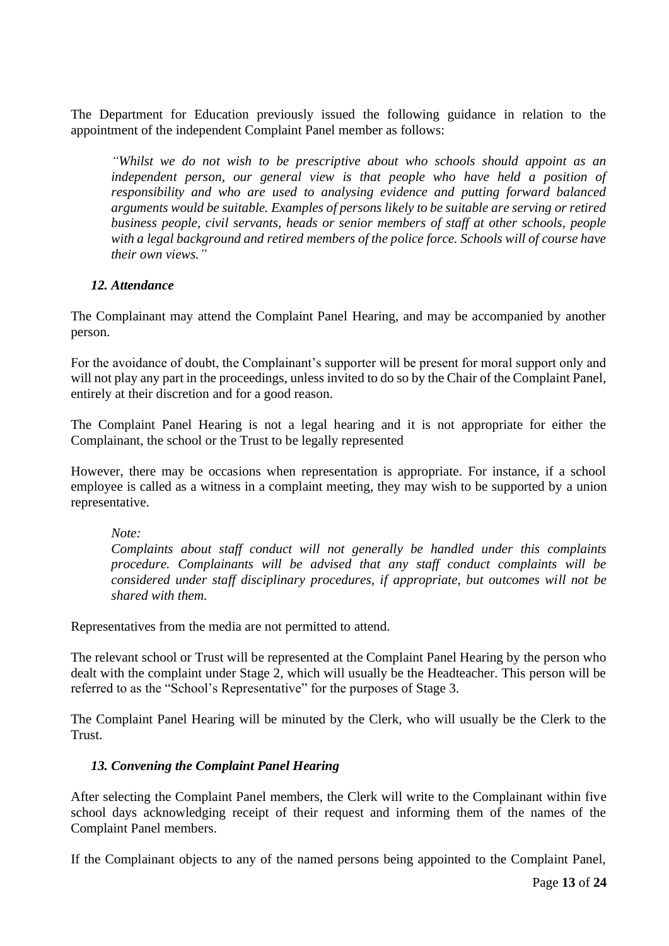The Department for Education previously issued the following guidance in relation to the appointment of the independent Complaint Panel member as follows:

*"Whilst we do not wish to be prescriptive about who schools should appoint as an*  independent person, our general view is that people who have held a position of *responsibility and who are used to analysing evidence and putting forward balanced arguments would be suitable. Examples of persons likely to be suitable are serving or retired business people, civil servants, heads or senior members of staff at other schools, people with a legal background and retired members of the police force. Schools will of course have their own views."*

# *12. Attendance*

The Complainant may attend the Complaint Panel Hearing, and may be accompanied by another person.

For the avoidance of doubt, the Complainant's supporter will be present for moral support only and will not play any part in the proceedings, unless invited to do so by the Chair of the Complaint Panel, entirely at their discretion and for a good reason.

The Complaint Panel Hearing is not a legal hearing and it is not appropriate for either the Complainant, the school or the Trust to be legally represented

However, there may be occasions when representation is appropriate. For instance, if a school employee is called as a witness in a complaint meeting, they may wish to be supported by a union representative.

*Note:* 

*Complaints about staff conduct will not generally be handled under this complaints procedure. Complainants will be advised that any staff conduct complaints will be considered under staff disciplinary procedures, if appropriate, but outcomes will not be shared with them.* 

Representatives from the media are not permitted to attend.

The relevant school or Trust will be represented at the Complaint Panel Hearing by the person who dealt with the complaint under Stage 2, which will usually be the Headteacher. This person will be referred to as the "School's Representative" for the purposes of Stage 3.

The Complaint Panel Hearing will be minuted by the Clerk, who will usually be the Clerk to the Trust.

# *13. Convening the Complaint Panel Hearing*

After selecting the Complaint Panel members, the Clerk will write to the Complainant within five school days acknowledging receipt of their request and informing them of the names of the Complaint Panel members.

If the Complainant objects to any of the named persons being appointed to the Complaint Panel,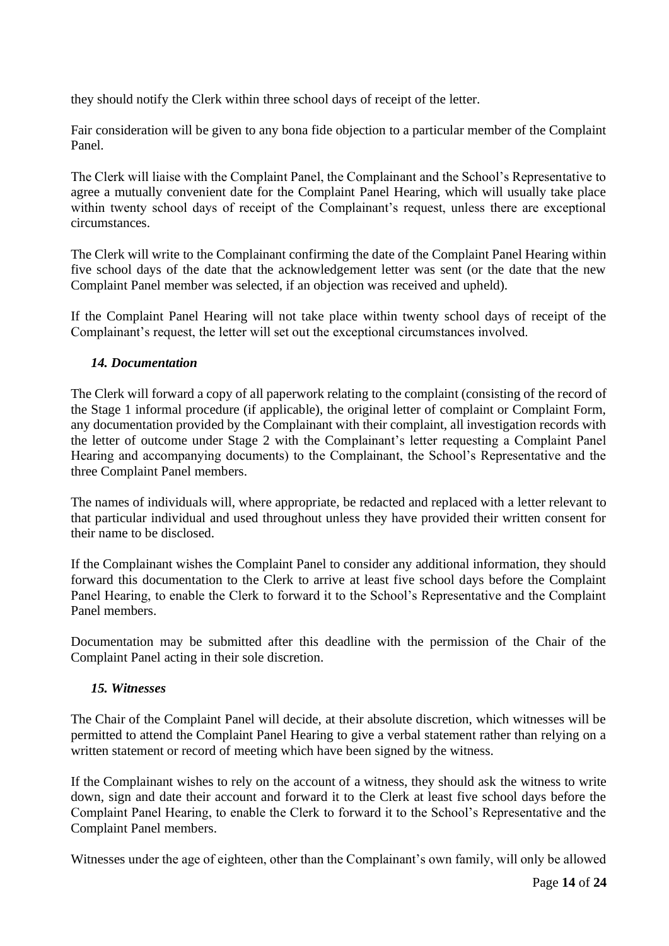they should notify the Clerk within three school days of receipt of the letter.

Fair consideration will be given to any bona fide objection to a particular member of the Complaint Panel.

The Clerk will liaise with the Complaint Panel, the Complainant and the School's Representative to agree a mutually convenient date for the Complaint Panel Hearing, which will usually take place within twenty school days of receipt of the Complainant's request, unless there are exceptional circumstances.

The Clerk will write to the Complainant confirming the date of the Complaint Panel Hearing within five school days of the date that the acknowledgement letter was sent (or the date that the new Complaint Panel member was selected, if an objection was received and upheld).

If the Complaint Panel Hearing will not take place within twenty school days of receipt of the Complainant's request, the letter will set out the exceptional circumstances involved.

## *14. Documentation*

The Clerk will forward a copy of all paperwork relating to the complaint (consisting of the record of the Stage 1 informal procedure (if applicable), the original letter of complaint or Complaint Form, any documentation provided by the Complainant with their complaint, all investigation records with the letter of outcome under Stage 2 with the Complainant's letter requesting a Complaint Panel Hearing and accompanying documents) to the Complainant, the School's Representative and the three Complaint Panel members.

The names of individuals will, where appropriate, be redacted and replaced with a letter relevant to that particular individual and used throughout unless they have provided their written consent for their name to be disclosed.

If the Complainant wishes the Complaint Panel to consider any additional information, they should forward this documentation to the Clerk to arrive at least five school days before the Complaint Panel Hearing, to enable the Clerk to forward it to the School's Representative and the Complaint Panel members.

Documentation may be submitted after this deadline with the permission of the Chair of the Complaint Panel acting in their sole discretion.

## *15. Witnesses*

The Chair of the Complaint Panel will decide, at their absolute discretion, which witnesses will be permitted to attend the Complaint Panel Hearing to give a verbal statement rather than relying on a written statement or record of meeting which have been signed by the witness.

If the Complainant wishes to rely on the account of a witness, they should ask the witness to write down, sign and date their account and forward it to the Clerk at least five school days before the Complaint Panel Hearing, to enable the Clerk to forward it to the School's Representative and the Complaint Panel members.

Witnesses under the age of eighteen, other than the Complainant's own family, will only be allowed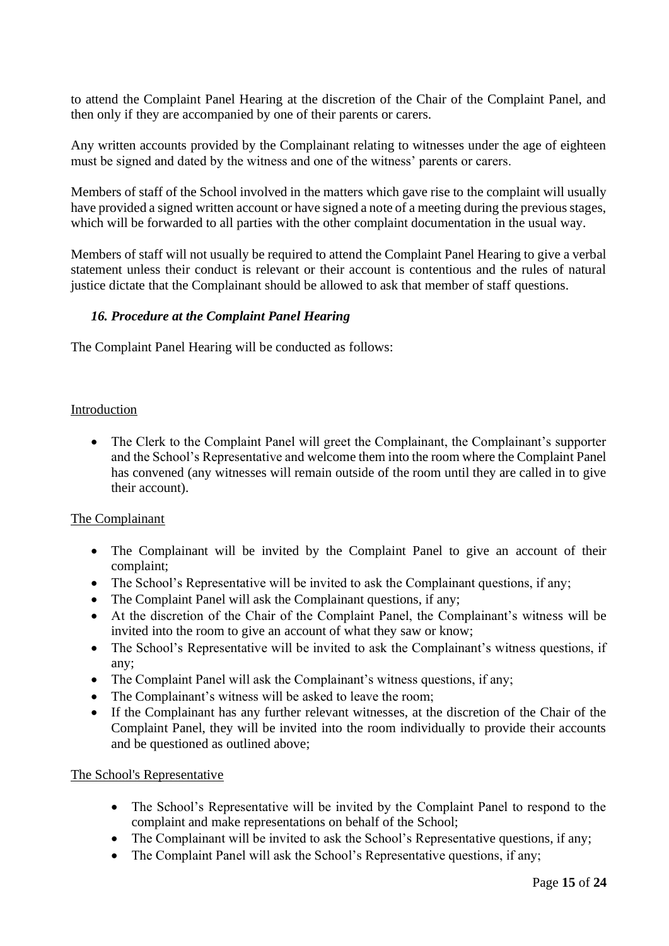to attend the Complaint Panel Hearing at the discretion of the Chair of the Complaint Panel, and then only if they are accompanied by one of their parents or carers.

Any written accounts provided by the Complainant relating to witnesses under the age of eighteen must be signed and dated by the witness and one of the witness' parents or carers.

Members of staff of the School involved in the matters which gave rise to the complaint will usually have provided a signed written account or have signed a note of a meeting during the previous stages, which will be forwarded to all parties with the other complaint documentation in the usual way.

Members of staff will not usually be required to attend the Complaint Panel Hearing to give a verbal statement unless their conduct is relevant or their account is contentious and the rules of natural justice dictate that the Complainant should be allowed to ask that member of staff questions.

# *16. Procedure at the Complaint Panel Hearing*

The Complaint Panel Hearing will be conducted as follows:

## Introduction

• The Clerk to the Complaint Panel will greet the Complainant, the Complainant's supporter and the School's Representative and welcome them into the room where the Complaint Panel has convened (any witnesses will remain outside of the room until they are called in to give their account).

## The Complainant

- The Complainant will be invited by the Complaint Panel to give an account of their complaint;
- The School's Representative will be invited to ask the Complainant questions, if any;
- The Complaint Panel will ask the Complainant questions, if any;
- At the discretion of the Chair of the Complaint Panel, the Complainant's witness will be invited into the room to give an account of what they saw or know;
- The School's Representative will be invited to ask the Complainant's witness questions, if any;
- The Complaint Panel will ask the Complainant's witness questions, if any;
- The Complainant's witness will be asked to leave the room;
- If the Complainant has any further relevant witnesses, at the discretion of the Chair of the Complaint Panel, they will be invited into the room individually to provide their accounts and be questioned as outlined above;

## The School's Representative

- The School's Representative will be invited by the Complaint Panel to respond to the complaint and make representations on behalf of the School;
- The Complainant will be invited to ask the School's Representative questions, if any;
- The Complaint Panel will ask the School's Representative questions, if any;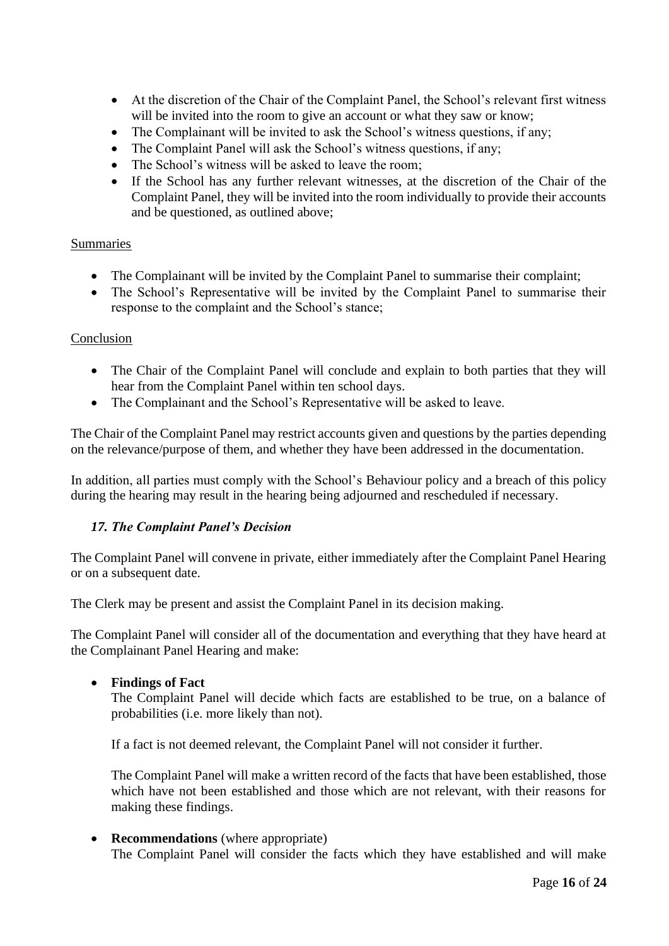- At the discretion of the Chair of the Complaint Panel, the School's relevant first witness will be invited into the room to give an account or what they saw or know;
- The Complainant will be invited to ask the School's witness questions, if any;
- The Complaint Panel will ask the School's witness questions, if any;
- The School's witness will be asked to leave the room;
- If the School has any further relevant witnesses, at the discretion of the Chair of the Complaint Panel, they will be invited into the room individually to provide their accounts and be questioned, as outlined above;

# **Summaries**

- The Complainant will be invited by the Complaint Panel to summarise their complaint;
- The School's Representative will be invited by the Complaint Panel to summarise their response to the complaint and the School's stance;

## Conclusion

- The Chair of the Complaint Panel will conclude and explain to both parties that they will hear from the Complaint Panel within ten school days.
- The Complainant and the School's Representative will be asked to leave.

The Chair of the Complaint Panel may restrict accounts given and questions by the parties depending on the relevance/purpose of them, and whether they have been addressed in the documentation.

In addition, all parties must comply with the School's Behaviour policy and a breach of this policy during the hearing may result in the hearing being adjourned and rescheduled if necessary.

# *17. The Complaint Panel's Decision*

The Complaint Panel will convene in private, either immediately after the Complaint Panel Hearing or on a subsequent date.

The Clerk may be present and assist the Complaint Panel in its decision making.

The Complaint Panel will consider all of the documentation and everything that they have heard at the Complainant Panel Hearing and make:

## • **Findings of Fact**

The Complaint Panel will decide which facts are established to be true, on a balance of probabilities (i.e. more likely than not).

If a fact is not deemed relevant, the Complaint Panel will not consider it further.

The Complaint Panel will make a written record of the facts that have been established, those which have not been established and those which are not relevant, with their reasons for making these findings.

• **Recommendations** (where appropriate) The Complaint Panel will consider the facts which they have established and will make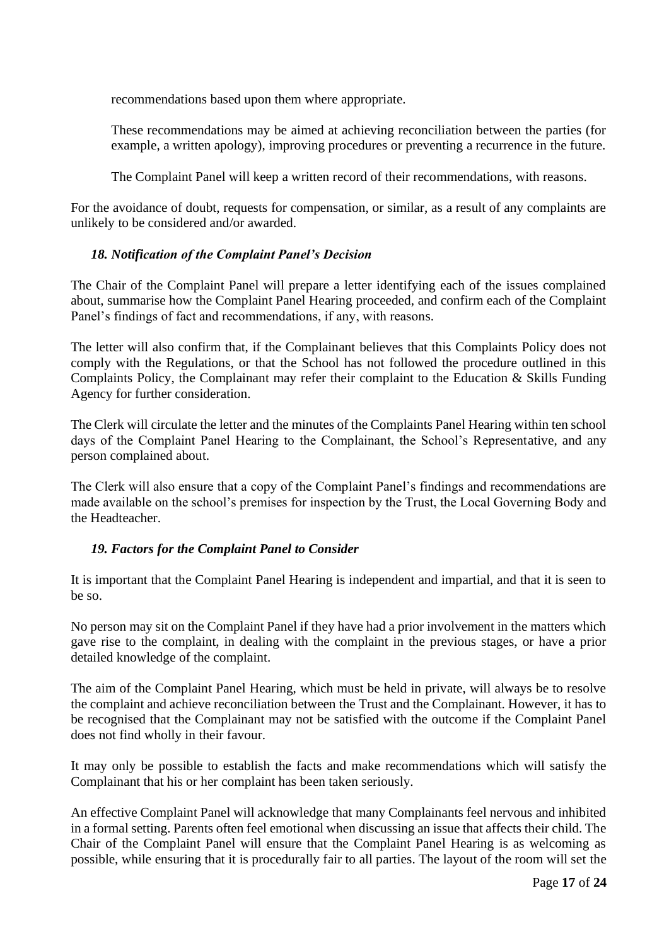recommendations based upon them where appropriate.

These recommendations may be aimed at achieving reconciliation between the parties (for example, a written apology), improving procedures or preventing a recurrence in the future.

The Complaint Panel will keep a written record of their recommendations, with reasons.

For the avoidance of doubt, requests for compensation, or similar, as a result of any complaints are unlikely to be considered and/or awarded.

# *18. Notification of the Complaint Panel's Decision*

The Chair of the Complaint Panel will prepare a letter identifying each of the issues complained about, summarise how the Complaint Panel Hearing proceeded, and confirm each of the Complaint Panel's findings of fact and recommendations, if any, with reasons.

The letter will also confirm that, if the Complainant believes that this Complaints Policy does not comply with the Regulations, or that the School has not followed the procedure outlined in this Complaints Policy, the Complainant may refer their complaint to the Education & Skills Funding Agency for further consideration.

The Clerk will circulate the letter and the minutes of the Complaints Panel Hearing within ten school days of the Complaint Panel Hearing to the Complainant, the School's Representative, and any person complained about.

The Clerk will also ensure that a copy of the Complaint Panel's findings and recommendations are made available on the school's premises for inspection by the Trust, the Local Governing Body and the Headteacher.

## *19. Factors for the Complaint Panel to Consider*

It is important that the Complaint Panel Hearing is independent and impartial, and that it is seen to be so.

No person may sit on the Complaint Panel if they have had a prior involvement in the matters which gave rise to the complaint, in dealing with the complaint in the previous stages, or have a prior detailed knowledge of the complaint.

The aim of the Complaint Panel Hearing, which must be held in private, will always be to resolve the complaint and achieve reconciliation between the Trust and the Complainant. However, it has to be recognised that the Complainant may not be satisfied with the outcome if the Complaint Panel does not find wholly in their favour.

It may only be possible to establish the facts and make recommendations which will satisfy the Complainant that his or her complaint has been taken seriously.

An effective Complaint Panel will acknowledge that many Complainants feel nervous and inhibited in a formal setting. Parents often feel emotional when discussing an issue that affects their child. The Chair of the Complaint Panel will ensure that the Complaint Panel Hearing is as welcoming as possible, while ensuring that it is procedurally fair to all parties. The layout of the room will set the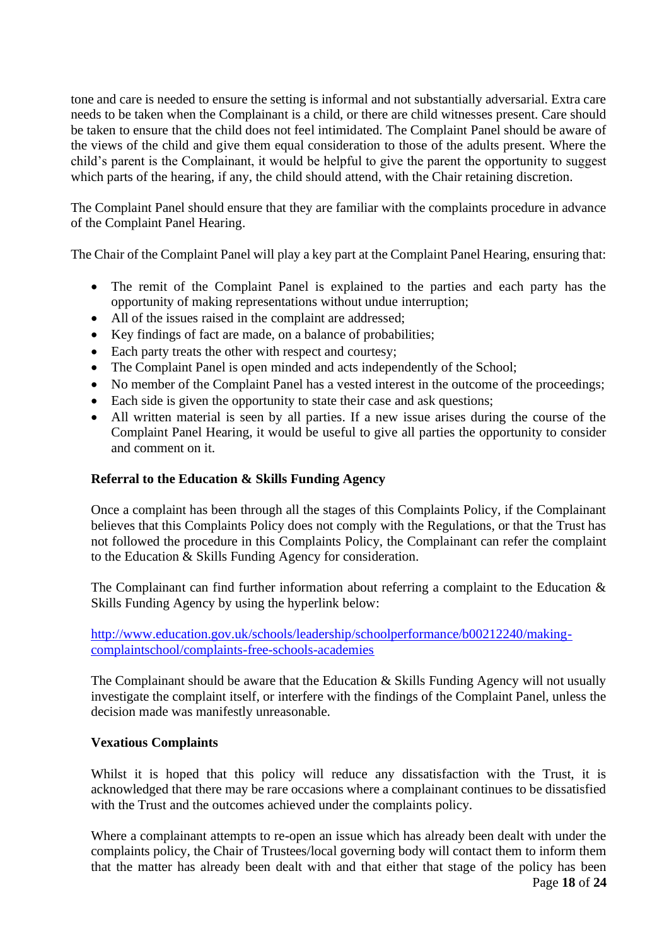tone and care is needed to ensure the setting is informal and not substantially adversarial. Extra care needs to be taken when the Complainant is a child, or there are child witnesses present. Care should be taken to ensure that the child does not feel intimidated. The Complaint Panel should be aware of the views of the child and give them equal consideration to those of the adults present. Where the child's parent is the Complainant, it would be helpful to give the parent the opportunity to suggest which parts of the hearing, if any, the child should attend, with the Chair retaining discretion.

The Complaint Panel should ensure that they are familiar with the complaints procedure in advance of the Complaint Panel Hearing.

The Chair of the Complaint Panel will play a key part at the Complaint Panel Hearing, ensuring that:

- The remit of the Complaint Panel is explained to the parties and each party has the opportunity of making representations without undue interruption;
- All of the issues raised in the complaint are addressed;
- Key findings of fact are made, on a balance of probabilities;
- Each party treats the other with respect and courtesy;
- The Complaint Panel is open minded and acts independently of the School;
- No member of the Complaint Panel has a vested interest in the outcome of the proceedings;
- Each side is given the opportunity to state their case and ask questions;
- All written material is seen by all parties. If a new issue arises during the course of the Complaint Panel Hearing, it would be useful to give all parties the opportunity to consider and comment on it.

## **Referral to the Education & Skills Funding Agency**

Once a complaint has been through all the stages of this Complaints Policy, if the Complainant believes that this Complaints Policy does not comply with the Regulations, or that the Trust has not followed the procedure in this Complaints Policy, the Complainant can refer the complaint to the Education & Skills Funding Agency for consideration.

The Complainant can find further information about referring a complaint to the Education & Skills Funding Agency by using the hyperlink below:

[http://www.education.gov.uk/schools/leadership/schoolperformance/b00212240/making](http://www.education.gov.uk/schools/leadership/schoolperformance/b00212240/making-complaintschool/complaints-free-schools-academies)[complaintschool/complaints-free-schools-academies](http://www.education.gov.uk/schools/leadership/schoolperformance/b00212240/making-complaintschool/complaints-free-schools-academies)

The Complainant should be aware that the Education & Skills Funding Agency will not usually investigate the complaint itself, or interfere with the findings of the Complaint Panel, unless the decision made was manifestly unreasonable.

## **Vexatious Complaints**

Whilst it is hoped that this policy will reduce any dissatisfaction with the Trust, it is acknowledged that there may be rare occasions where a complainant continues to be dissatisfied with the Trust and the outcomes achieved under the complaints policy.

Page **18** of **24** Where a complainant attempts to re-open an issue which has already been dealt with under the complaints policy, the Chair of Trustees/local governing body will contact them to inform them that the matter has already been dealt with and that either that stage of the policy has been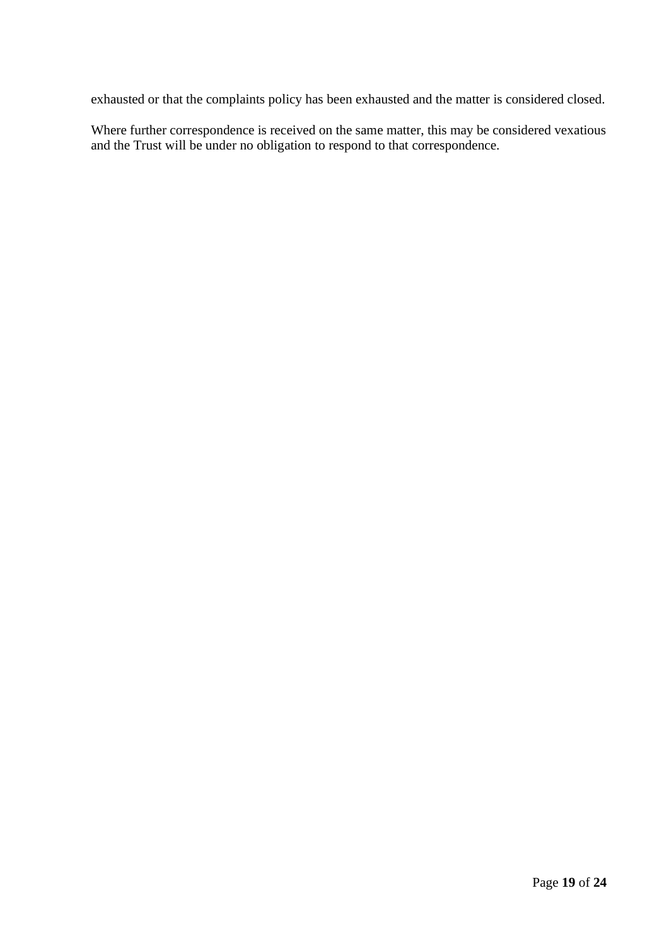exhausted or that the complaints policy has been exhausted and the matter is considered closed.

Where further correspondence is received on the same matter, this may be considered vexatious and the Trust will be under no obligation to respond to that correspondence.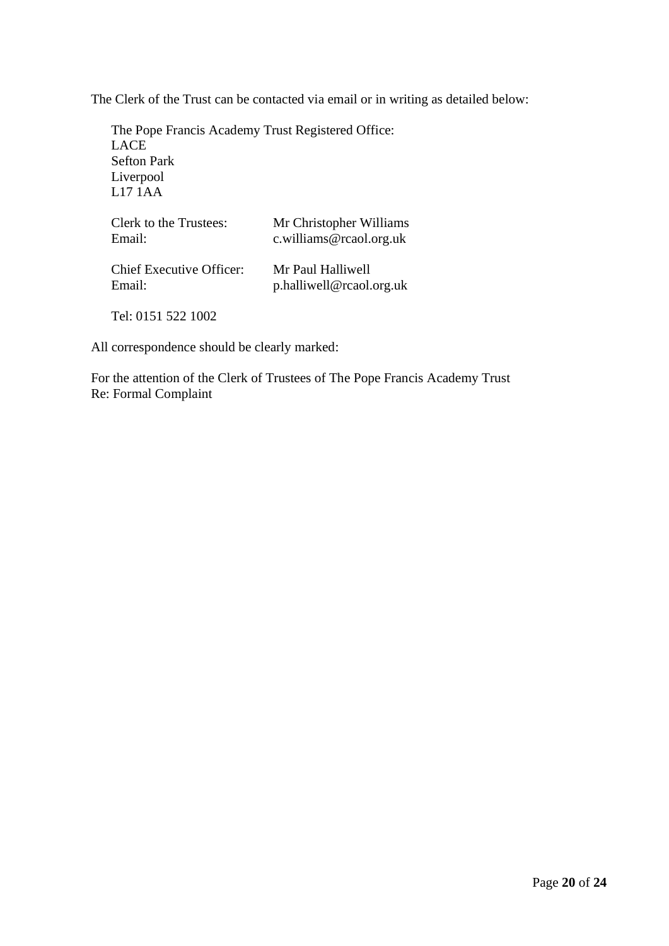The Clerk of the Trust can be contacted via email or in writing as detailed below:

The Pope Francis Academy Trust Registered Office: LACE Sefton Park Liverpool  $L17$   $1AA$ 

| <b>Clerk to the Trustees:</b>   | Mr Christopher Williams     |
|---------------------------------|-----------------------------|
| Email:                          | c.williams@rcaol.org.uk     |
| <b>Chief Executive Officer:</b> | Mr Paul Halliwell           |
| Email:                          | $p.$ halliwell@rcaol.org.uk |

Tel: 0151 522 1002

All correspondence should be clearly marked:

For the attention of the Clerk of Trustees of The Pope Francis Academy Trust Re: Formal Complaint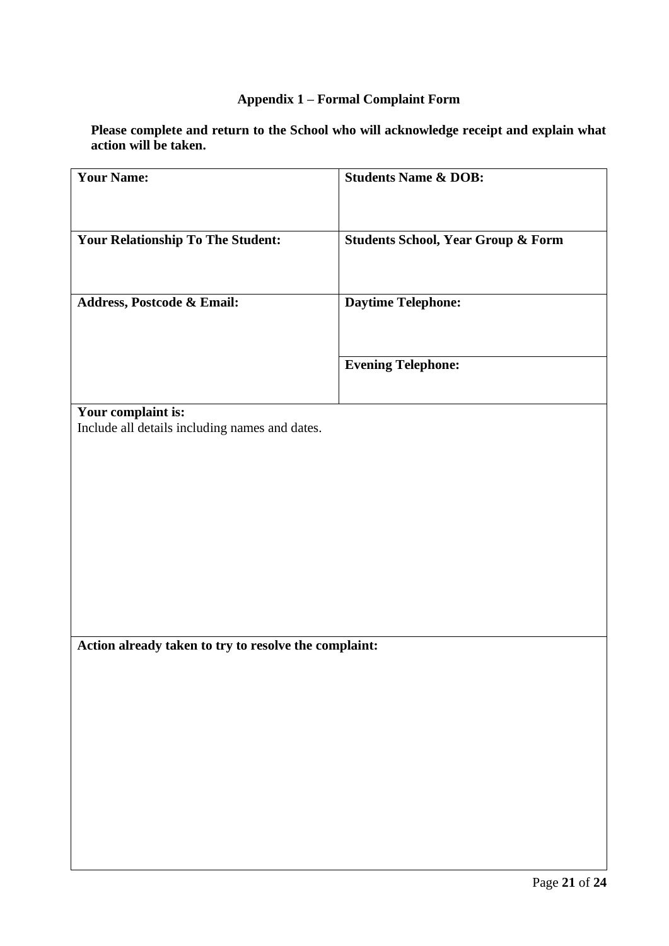# **Appendix 1 – Formal Complaint Form**

**Please complete and return to the School who will acknowledge receipt and explain what action will be taken.**

| <b>Your Name:</b>                                     | <b>Students Name &amp; DOB:</b>               |
|-------------------------------------------------------|-----------------------------------------------|
|                                                       |                                               |
| <b>Your Relationship To The Student:</b>              | <b>Students School, Year Group &amp; Form</b> |
|                                                       |                                               |
| Address, Postcode & Email:                            | <b>Daytime Telephone:</b>                     |
|                                                       |                                               |
|                                                       | <b>Evening Telephone:</b>                     |
|                                                       |                                               |
| Your complaint is:                                    |                                               |
| Include all details including names and dates.        |                                               |
|                                                       |                                               |
|                                                       |                                               |
|                                                       |                                               |
|                                                       |                                               |
|                                                       |                                               |
|                                                       |                                               |
| Action already taken to try to resolve the complaint: |                                               |
|                                                       |                                               |
|                                                       |                                               |
|                                                       |                                               |
|                                                       |                                               |
|                                                       |                                               |
|                                                       |                                               |
|                                                       |                                               |
|                                                       |                                               |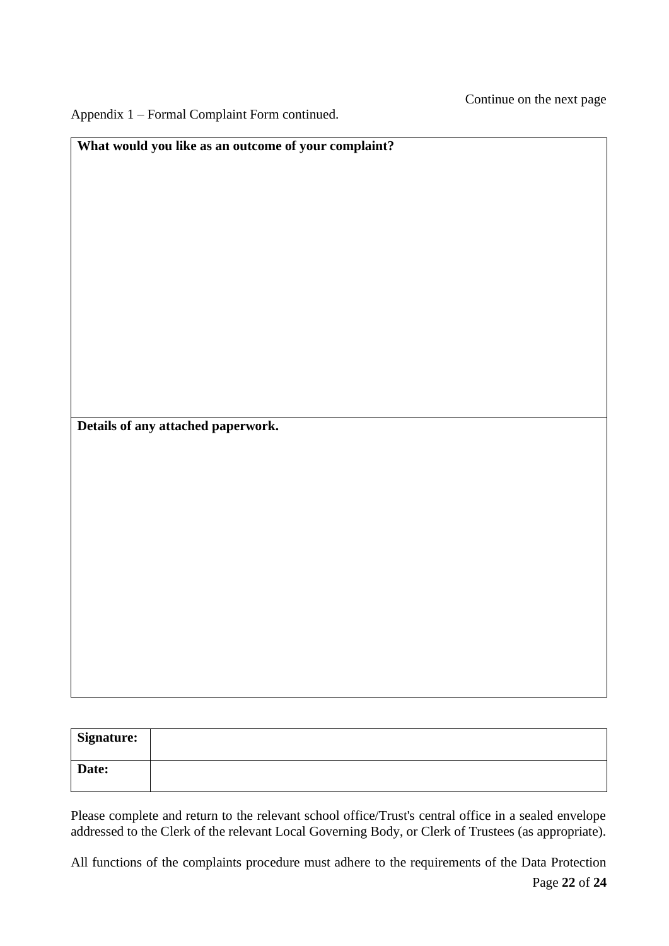Appendix 1 – Formal Complaint Form continued.

| What would you like as an outcome of your complaint? |  |
|------------------------------------------------------|--|
|                                                      |  |
|                                                      |  |
|                                                      |  |
|                                                      |  |
|                                                      |  |
|                                                      |  |
|                                                      |  |
|                                                      |  |
|                                                      |  |
|                                                      |  |
|                                                      |  |
|                                                      |  |
|                                                      |  |
|                                                      |  |
|                                                      |  |
|                                                      |  |
|                                                      |  |
| Details of any attached paperwork.                   |  |
|                                                      |  |
|                                                      |  |
|                                                      |  |
|                                                      |  |
|                                                      |  |
|                                                      |  |
|                                                      |  |
|                                                      |  |
|                                                      |  |
|                                                      |  |
|                                                      |  |
|                                                      |  |
|                                                      |  |
|                                                      |  |
|                                                      |  |
|                                                      |  |
|                                                      |  |
|                                                      |  |

| Signature: |  |
|------------|--|
| Date:      |  |

Please complete and return to the relevant school office/Trust's central office in a sealed envelope addressed to the Clerk of the relevant Local Governing Body, or Clerk of Trustees (as appropriate).

All functions of the complaints procedure must adhere to the requirements of the Data Protection